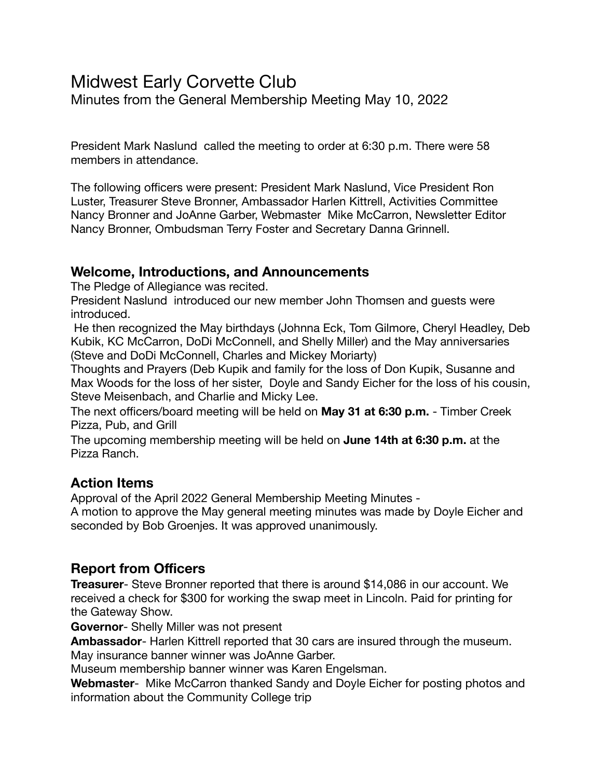# Midwest Early Corvette Club

Minutes from the General Membership Meeting May 10, 2022

President Mark Naslund called the meeting to order at 6:30 p.m. There were 58 members in attendance.

The following officers were present: President Mark Naslund, Vice President Ron Luster, Treasurer Steve Bronner, Ambassador Harlen Kittrell, Activities Committee Nancy Bronner and JoAnne Garber, Webmaster Mike McCarron, Newsletter Editor Nancy Bronner, Ombudsman Terry Foster and Secretary Danna Grinnell.

### **Welcome, Introductions, and Announcements**

The Pledge of Allegiance was recited.

President Naslund introduced our new member John Thomsen and guests were introduced.

 He then recognized the May birthdays (Johnna Eck, Tom Gilmore, Cheryl Headley, Deb Kubik, KC McCarron, DoDi McConnell, and Shelly Miller) and the May anniversaries (Steve and DoDi McConnell, Charles and Mickey Moriarty)

Thoughts and Prayers (Deb Kupik and family for the loss of Don Kupik, Susanne and Max Woods for the loss of her sister, Doyle and Sandy Eicher for the loss of his cousin, Steve Meisenbach, and Charlie and Micky Lee.

The next officers/board meeting will be held on **May 31 at 6:30 p.m.** - Timber Creek Pizza, Pub, and Grill

The upcoming membership meeting will be held on **June 14th at 6:30 p.m.** at the Pizza Ranch.

### **Action Items**

Approval of the April 2022 General Membership Meeting Minutes -

A motion to approve the May general meeting minutes was made by Doyle Eicher and seconded by Bob Groenjes. It was approved unanimously.

## **Report from Officers**

**Treasurer**- Steve Bronner reported that there is around \$14,086 in our account. We received a check for \$300 for working the swap meet in Lincoln. Paid for printing for the Gateway Show.

**Governor**- Shelly Miller was not present

**Ambassador**- Harlen Kittrell reported that 30 cars are insured through the museum. May insurance banner winner was JoAnne Garber.

Museum membership banner winner was Karen Engelsman.

**Webmaster**- Mike McCarron thanked Sandy and Doyle Eicher for posting photos and information about the Community College trip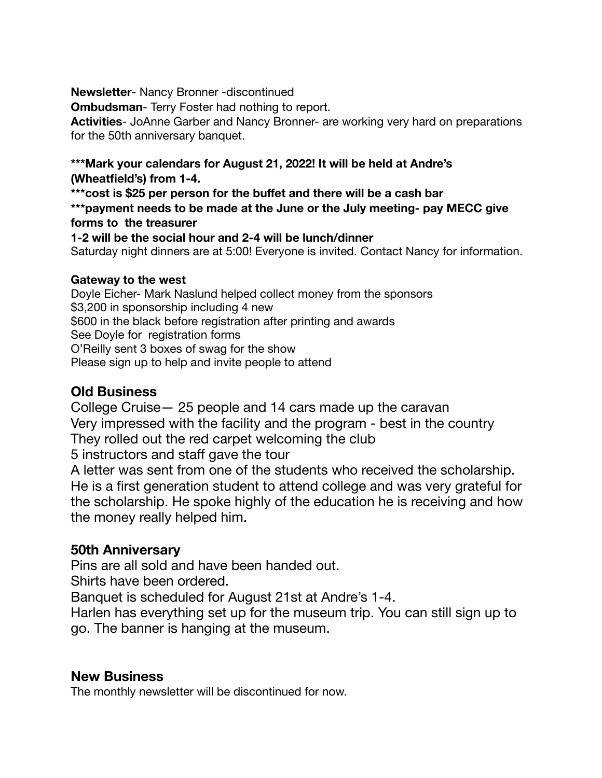**Newsletter**- Nancy Bronner -discontinued

**Ombudsman**- Terry Foster had nothing to report.

**Activities**- JoAnne Garber and Nancy Bronner- are working very hard on preparations for the 50th anniversary banquet.

#### **\*\*\*Mark your calendars for August 21, 2022! It will be held at Andre's (Wheatfield's) from 1-4.**

**\*\*\*cost is \$25 per person for the buffet and there will be a cash bar \*\*\*payment needs to be made at the June or the July meeting- pay MECC give** 

#### **forms to the treasurer**

**1-2 will be the social hour and 2-4 will be lunch/dinner** 

Saturday night dinners are at 5:00! Everyone is invited. Contact Nancy for information.

#### **Gateway to the west**

Doyle Eicher- Mark Naslund helped collect money from the sponsors \$3,200 in sponsorship including 4 new \$600 in the black before registration after printing and awards See Doyle for registration forms O'Reilly sent 3 boxes of swag for the show Please sign up to help and invite people to attend

## **Old Business**

College Cruise— 25 people and 14 cars made up the caravan Very impressed with the facility and the program - best in the country They rolled out the red carpet welcoming the club

5 instructors and staff gave the tour

A letter was sent from one of the students who received the scholarship. He is a first generation student to attend college and was very grateful for the scholarship. He spoke highly of the education he is receiving and how the money really helped him.

## **50th Anniversary**

Pins are all sold and have been handed out.

Shirts have been ordered.

Banquet is scheduled for August 21st at Andre's 1-4.

Harlen has everything set up for the museum trip. You can still sign up to go. The banner is hanging at the museum.

### **New Business**

The monthly newsletter will be discontinued for now.